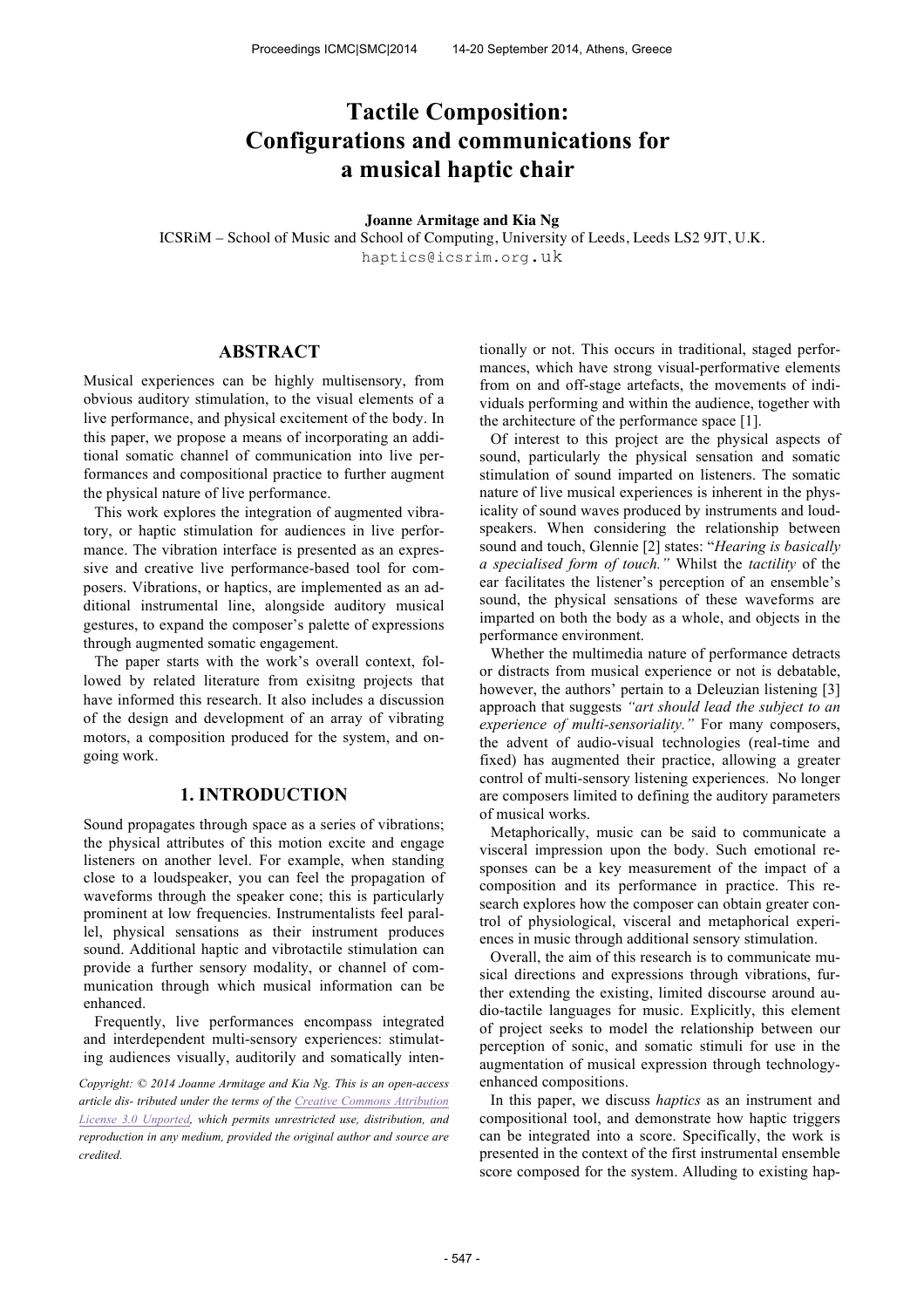# **Tactile Composition: Configurations and communications for a musical haptic chair**

#### **Joanne Armitage and Kia Ng**

ICSRiM – School of Music and School of Computing, University of Leeds, Leeds LS2 9JT, U.K. haptics@icsrim.org.uk

# **ABSTRACT**

Musical experiences can be highly multisensory, from obvious auditory stimulation, to the visual elements of a live performance, and physical excitement of the body. In this paper, we propose a means of incorporating an additional somatic channel of communication into live performances and compositional practice to further augment the physical nature of live performance.

This work explores the integration of augmented vibratory, or haptic stimulation for audiences in live performance. The vibration interface is presented as an expressive and creative live performance-based tool for composers. Vibrations, or haptics, are implemented as an additional instrumental line, alongside auditory musical gestures, to expand the composer's palette of expressions through augmented somatic engagement.

The paper starts with the work's overall context, followed by related literature from exisitng projects that have informed this research. It also includes a discussion of the design and development of an array of vibrating motors, a composition produced for the system, and ongoing work.

## **1. INTRODUCTION**

Sound propagates through space as a series of vibrations; the physical attributes of this motion excite and engage listeners on another level. For example, when standing close to a loudspeaker, you can feel the propagation of waveforms through the speaker cone; this is particularly prominent at low frequencies. Instrumentalists feel parallel, physical sensations as their instrument produces sound. Additional haptic and vibrotactile stimulation can provide a further sensory modality, or channel of communication through which musical information can be enhanced.

Frequently, live performances encompass integrated and interdependent multi-sensory experiences: stimulating audiences visually, auditorily and somatically inten-

*Copyright: © 2014 Joanne Armitage and Kia Ng. This is an open-access article dis- tributed under the terms of the Creative Commons Attribution License 3.0 Unported, which permits unrestricted use, distribution, and reproduction in any medium, provided the original author and source are credited.*

tionally or not. This occurs in traditional, staged performances, which have strong visual-performative elements from on and off-stage artefacts, the movements of individuals performing and within the audience, together with the architecture of the performance space [1].

Of interest to this project are the physical aspects of sound, particularly the physical sensation and somatic stimulation of sound imparted on listeners. The somatic nature of live musical experiences is inherent in the physicality of sound waves produced by instruments and loudspeakers. When considering the relationship between sound and touch, Glennie [2] states: "*Hearing is basically a specialised form of touch."* Whilst the *tactility* of the ear facilitates the listener's perception of an ensemble's sound, the physical sensations of these waveforms are imparted on both the body as a whole, and objects in the performance environment.

Whether the multimedia nature of performance detracts or distracts from musical experience or not is debatable, however, the authors' pertain to a Deleuzian listening [3] approach that suggests *"art should lead the subject to an experience of multi-sensoriality."* For many composers, the advent of audio-visual technologies (real-time and fixed) has augmented their practice, allowing a greater control of multi-sensory listening experiences. No longer are composers limited to defining the auditory parameters of musical works.

Metaphorically, music can be said to communicate a visceral impression upon the body. Such emotional responses can be a key measurement of the impact of a composition and its performance in practice. This research explores how the composer can obtain greater control of physiological, visceral and metaphorical experiences in music through additional sensory stimulation.

Overall, the aim of this research is to communicate musical directions and expressions through vibrations, further extending the existing, limited discourse around audio-tactile languages for music. Explicitly, this element of project seeks to model the relationship between our perception of sonic, and somatic stimuli for use in the augmentation of musical expression through technologyenhanced compositions.

In this paper, we discuss *haptics* as an instrument and compositional tool, and demonstrate how haptic triggers can be integrated into a score. Specifically, the work is presented in the context of the first instrumental ensemble score composed for the system. Alluding to existing hap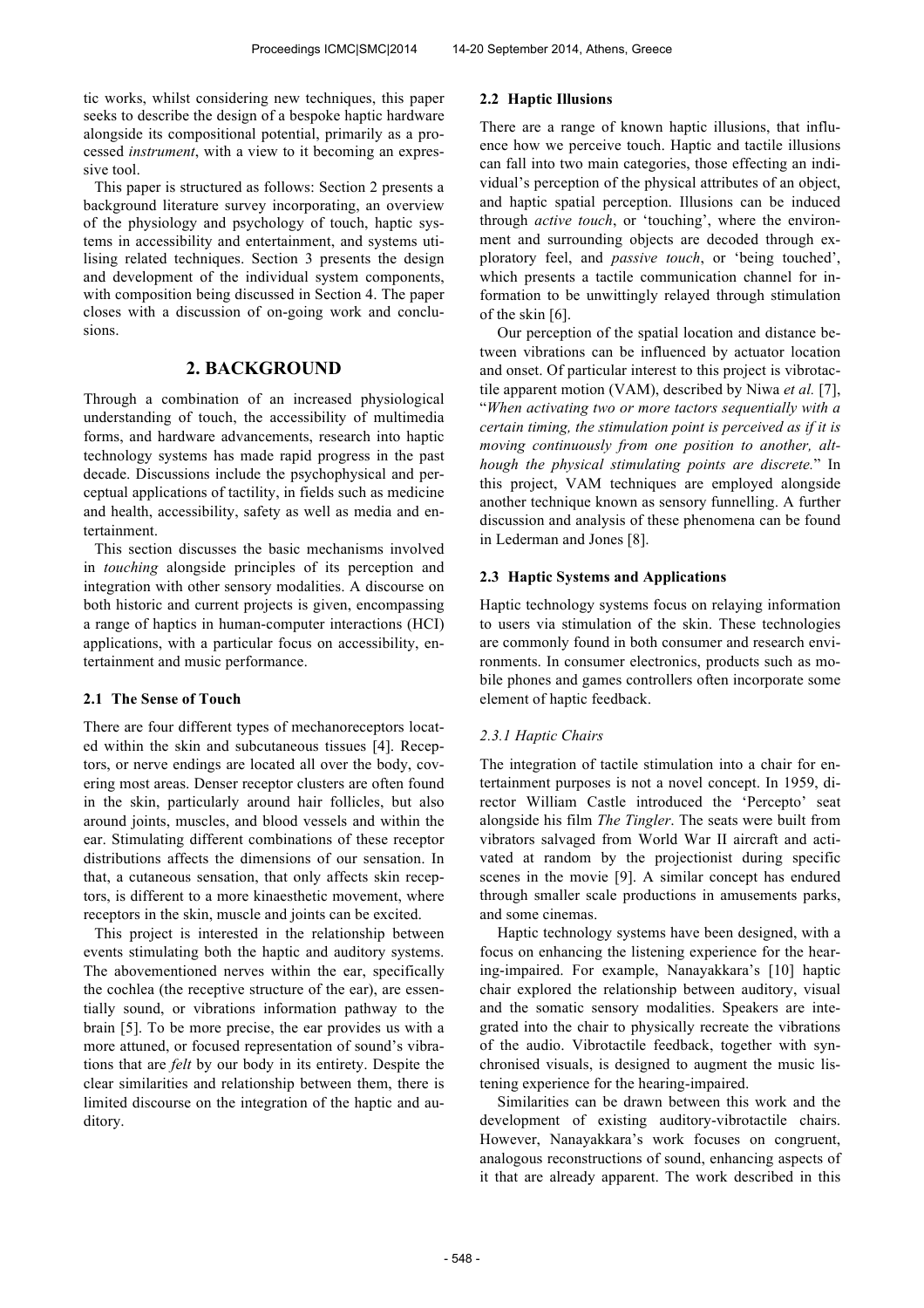tic works, whilst considering new techniques, this paper seeks to describe the design of a bespoke haptic hardware alongside its compositional potential, primarily as a processed *instrument*, with a view to it becoming an expressive tool.

This paper is structured as follows: Section 2 presents a background literature survey incorporating, an overview of the physiology and psychology of touch, haptic systems in accessibility and entertainment, and systems utilising related techniques. Section 3 presents the design and development of the individual system components, with composition being discussed in Section 4. The paper closes with a discussion of on-going work and conclusions.

## **2. BACKGROUND**

Through a combination of an increased physiological understanding of touch, the accessibility of multimedia forms, and hardware advancements, research into haptic technology systems has made rapid progress in the past decade. Discussions include the psychophysical and perceptual applications of tactility, in fields such as medicine and health, accessibility, safety as well as media and entertainment.

This section discusses the basic mechanisms involved in *touching* alongside principles of its perception and integration with other sensory modalities. A discourse on both historic and current projects is given, encompassing a range of haptics in human-computer interactions (HCI) applications, with a particular focus on accessibility, entertainment and music performance.

#### **2.1 The Sense of Touch**

There are four different types of mechanoreceptors located within the skin and subcutaneous tissues [4]. Receptors, or nerve endings are located all over the body, covering most areas. Denser receptor clusters are often found in the skin, particularly around hair follicles, but also around joints, muscles, and blood vessels and within the ear. Stimulating different combinations of these receptor distributions affects the dimensions of our sensation. In that, a cutaneous sensation, that only affects skin receptors, is different to a more kinaesthetic movement, where receptors in the skin, muscle and joints can be excited.

This project is interested in the relationship between events stimulating both the haptic and auditory systems. The abovementioned nerves within the ear, specifically the cochlea (the receptive structure of the ear), are essentially sound, or vibrations information pathway to the brain [5]. To be more precise, the ear provides us with a more attuned, or focused representation of sound's vibrations that are *felt* by our body in its entirety. Despite the clear similarities and relationship between them, there is limited discourse on the integration of the haptic and auditory.

## **2.2 Haptic Illusions**

There are a range of known haptic illusions, that influence how we perceive touch. Haptic and tactile illusions can fall into two main categories, those effecting an individual's perception of the physical attributes of an object, and haptic spatial perception. Illusions can be induced through *active touch*, or 'touching', where the environment and surrounding objects are decoded through exploratory feel, and *passive touch*, or 'being touched', which presents a tactile communication channel for information to be unwittingly relayed through stimulation of the skin [6].

Our perception of the spatial location and distance between vibrations can be influenced by actuator location and onset. Of particular interest to this project is vibrotactile apparent motion (VAM), described by Niwa *et al.* [7], "*When activating two or more tactors sequentially with a certain timing, the stimulation point is perceived as if it is moving continuously from one position to another, although the physical stimulating points are discrete.*" In this project, VAM techniques are employed alongside another technique known as sensory funnelling. A further discussion and analysis of these phenomena can be found in Lederman and Jones [8].

## **2.3 Haptic Systems and Applications**

Haptic technology systems focus on relaying information to users via stimulation of the skin. These technologies are commonly found in both consumer and research environments. In consumer electronics, products such as mobile phones and games controllers often incorporate some element of haptic feedback.

## *2.3.1 Haptic Chairs*

The integration of tactile stimulation into a chair for entertainment purposes is not a novel concept. In 1959, director William Castle introduced the 'Percepto' seat alongside his film *The Tingler*. The seats were built from vibrators salvaged from World War II aircraft and activated at random by the projectionist during specific scenes in the movie [9]. A similar concept has endured through smaller scale productions in amusements parks, and some cinemas.

Haptic technology systems have been designed, with a focus on enhancing the listening experience for the hearing-impaired. For example, Nanayakkara's [10] haptic chair explored the relationship between auditory, visual and the somatic sensory modalities. Speakers are integrated into the chair to physically recreate the vibrations of the audio. Vibrotactile feedback, together with synchronised visuals, is designed to augment the music listening experience for the hearing-impaired.

Similarities can be drawn between this work and the development of existing auditory-vibrotactile chairs. However, Nanayakkara's work focuses on congruent, analogous reconstructions of sound, enhancing aspects of it that are already apparent. The work described in this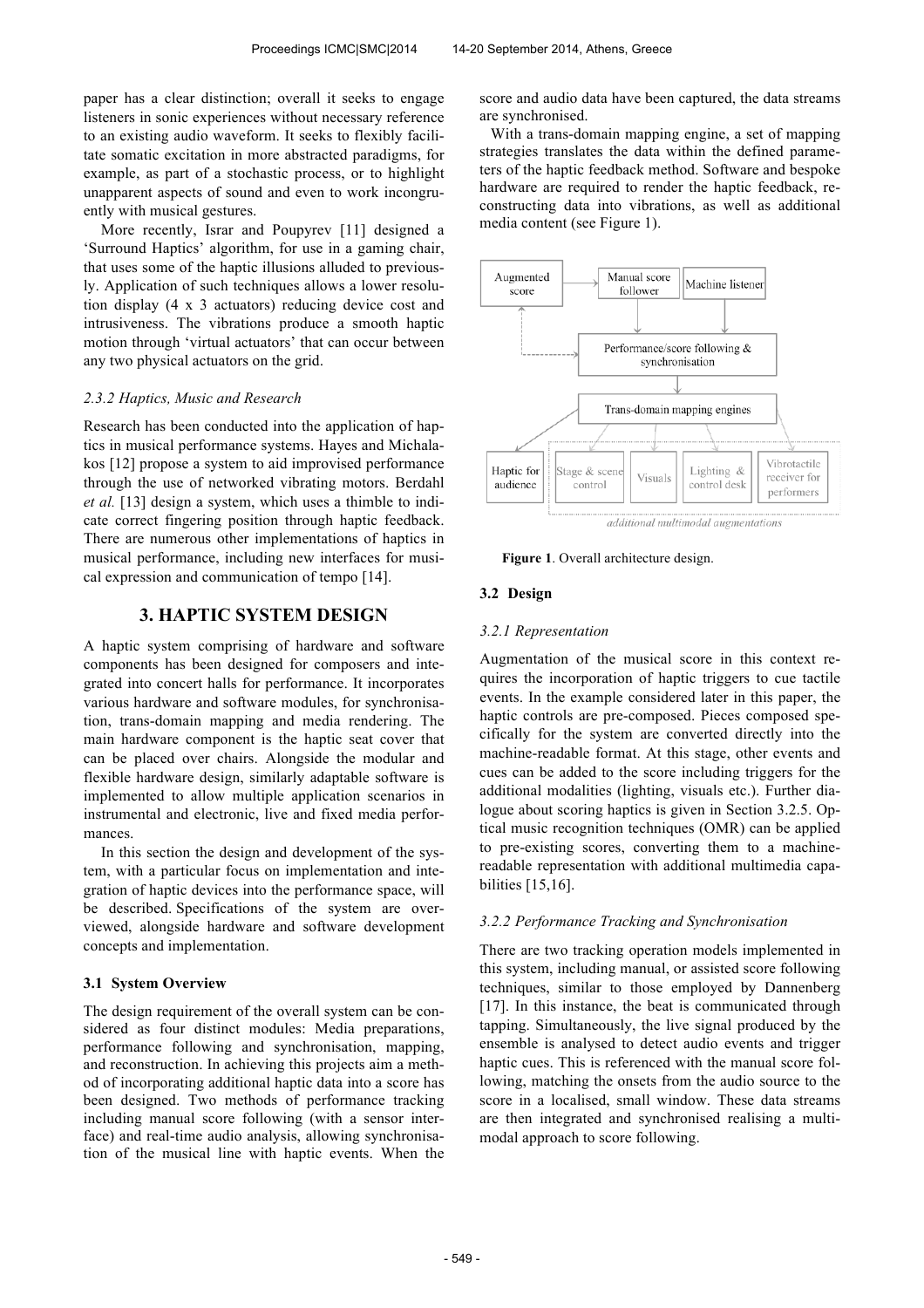paper has a clear distinction; overall it seeks to engage listeners in sonic experiences without necessary reference to an existing audio waveform. It seeks to flexibly facilitate somatic excitation in more abstracted paradigms, for example, as part of a stochastic process, or to highlight unapparent aspects of sound and even to work incongruently with musical gestures.

More recently, Israr and Poupyrev [11] designed a 'Surround Haptics' algorithm, for use in a gaming chair, that uses some of the haptic illusions alluded to previously. Application of such techniques allows a lower resolution display (4 x 3 actuators) reducing device cost and intrusiveness. The vibrations produce a smooth haptic motion through 'virtual actuators' that can occur between any two physical actuators on the grid.

## *2.3.2 Haptics, Music and Research*

Research has been conducted into the application of haptics in musical performance systems. Hayes and Michalakos [12] propose a system to aid improvised performance through the use of networked vibrating motors. Berdahl *et al.* [13] design a system, which uses a thimble to indicate correct fingering position through haptic feedback. There are numerous other implementations of haptics in musical performance, including new interfaces for musical expression and communication of tempo [14].

## **3. HAPTIC SYSTEM DESIGN**

A haptic system comprising of hardware and software components has been designed for composers and integrated into concert halls for performance. It incorporates various hardware and software modules, for synchronisation, trans-domain mapping and media rendering. The main hardware component is the haptic seat cover that can be placed over chairs. Alongside the modular and flexible hardware design, similarly adaptable software is implemented to allow multiple application scenarios in instrumental and electronic, live and fixed media performances.

In this section the design and development of the system, with a particular focus on implementation and integration of haptic devices into the performance space, will be described. Specifications of the system are overviewed, alongside hardware and software development concepts and implementation.

## **3.1 System Overview**

The design requirement of the overall system can be considered as four distinct modules: Media preparations, performance following and synchronisation, mapping, and reconstruction. In achieving this projects aim a method of incorporating additional haptic data into a score has been designed. Two methods of performance tracking including manual score following (with a sensor interface) and real-time audio analysis, allowing synchronisation of the musical line with haptic events. When the score and audio data have been captured, the data streams are synchronised.

With a trans-domain mapping engine, a set of mapping strategies translates the data within the defined parameters of the haptic feedback method. Software and bespoke hardware are required to render the haptic feedback, reconstructing data into vibrations, as well as additional media content (see Figure 1).



additional multimodal augmentations

**Figure 1**. Overall architecture design.

## **3.2 Design**

## *3.2.1 Representation*

Augmentation of the musical score in this context requires the incorporation of haptic triggers to cue tactile events. In the example considered later in this paper, the haptic controls are pre-composed. Pieces composed specifically for the system are converted directly into the machine-readable format. At this stage, other events and cues can be added to the score including triggers for the additional modalities (lighting, visuals etc.). Further dialogue about scoring haptics is given in Section 3.2.5. Optical music recognition techniques (OMR) can be applied to pre-existing scores, converting them to a machinereadable representation with additional multimedia capabilities [15,16].

#### *3.2.2 Performance Tracking and Synchronisation*

There are two tracking operation models implemented in this system, including manual, or assisted score following techniques, similar to those employed by Dannenberg [17]. In this instance, the beat is communicated through tapping. Simultaneously, the live signal produced by the ensemble is analysed to detect audio events and trigger haptic cues. This is referenced with the manual score following, matching the onsets from the audio source to the score in a localised, small window. These data streams are then integrated and synchronised realising a multimodal approach to score following.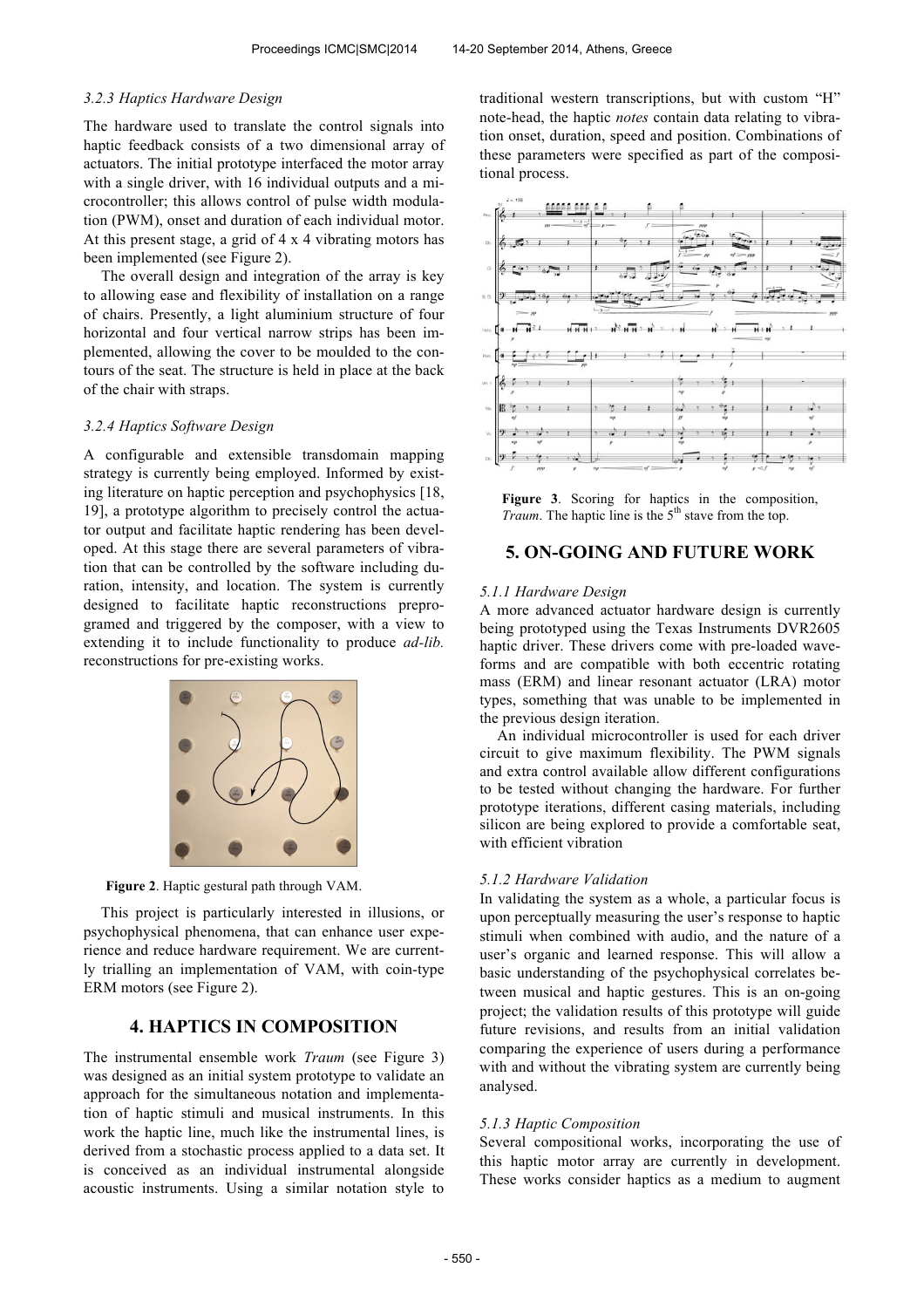#### *3.2.3 Haptics Hardware Design*

The hardware used to translate the control signals into haptic feedback consists of a two dimensional array of actuators. The initial prototype interfaced the motor array with a single driver, with 16 individual outputs and a microcontroller; this allows control of pulse width modulation (PWM), onset and duration of each individual motor. At this present stage, a grid of 4 x 4 vibrating motors has been implemented (see Figure 2).

The overall design and integration of the array is key to allowing ease and flexibility of installation on a range of chairs. Presently, a light aluminium structure of four horizontal and four vertical narrow strips has been implemented, allowing the cover to be moulded to the contours of the seat. The structure is held in place at the back of the chair with straps.

#### *3.2.4 Haptics Software Design*

A configurable and extensible transdomain mapping strategy is currently being employed. Informed by existing literature on haptic perception and psychophysics [18, 19], a prototype algorithm to precisely control the actuator output and facilitate haptic rendering has been developed. At this stage there are several parameters of vibration that can be controlled by the software including duration, intensity, and location. The system is currently designed to facilitate haptic reconstructions preprogramed and triggered by the composer, with a view to extending it to include functionality to produce *ad-lib.* reconstructions for pre-existing works.



**Figure 2**. Haptic gestural path through VAM.

This project is particularly interested in illusions, or psychophysical phenomena, that can enhance user experience and reduce hardware requirement. We are currently trialling an implementation of VAM, with coin-type ERM motors (see Figure 2).

# **4. HAPTICS IN COMPOSITION**

The instrumental ensemble work *Traum* (see Figure 3) was designed as an initial system prototype to validate an approach for the simultaneous notation and implementation of haptic stimuli and musical instruments. In this work the haptic line, much like the instrumental lines, is derived from a stochastic process applied to a data set. It is conceived as an individual instrumental alongside acoustic instruments. Using a similar notation style to traditional western transcriptions, but with custom "H" note-head, the haptic *notes* contain data relating to vibration onset, duration, speed and position. Combinations of these parameters were specified as part of the compositional process.



**Figure 3**. Scoring for haptics in the composition, *Traum*. The haptic line is the 5<sup>th</sup> stave from the top.

## **5. ON-GOING AND FUTURE WORK**

#### *5.1.1 Hardware Design*

A more advanced actuator hardware design is currently being prototyped using the Texas Instruments DVR2605 haptic driver. These drivers come with pre-loaded waveforms and are compatible with both eccentric rotating mass (ERM) and linear resonant actuator (LRA) motor types, something that was unable to be implemented in the previous design iteration.

An individual microcontroller is used for each driver circuit to give maximum flexibility. The PWM signals and extra control available allow different configurations to be tested without changing the hardware. For further prototype iterations, different casing materials, including silicon are being explored to provide a comfortable seat, with efficient vibration

#### *5.1.2 Hardware Validation*

In validating the system as a whole, a particular focus is upon perceptually measuring the user's response to haptic stimuli when combined with audio, and the nature of a user's organic and learned response. This will allow a basic understanding of the psychophysical correlates between musical and haptic gestures. This is an on-going project; the validation results of this prototype will guide future revisions, and results from an initial validation comparing the experience of users during a performance with and without the vibrating system are currently being analysed.

#### *5.1.3 Haptic Composition*

Several compositional works, incorporating the use of this haptic motor array are currently in development. These works consider haptics as a medium to augment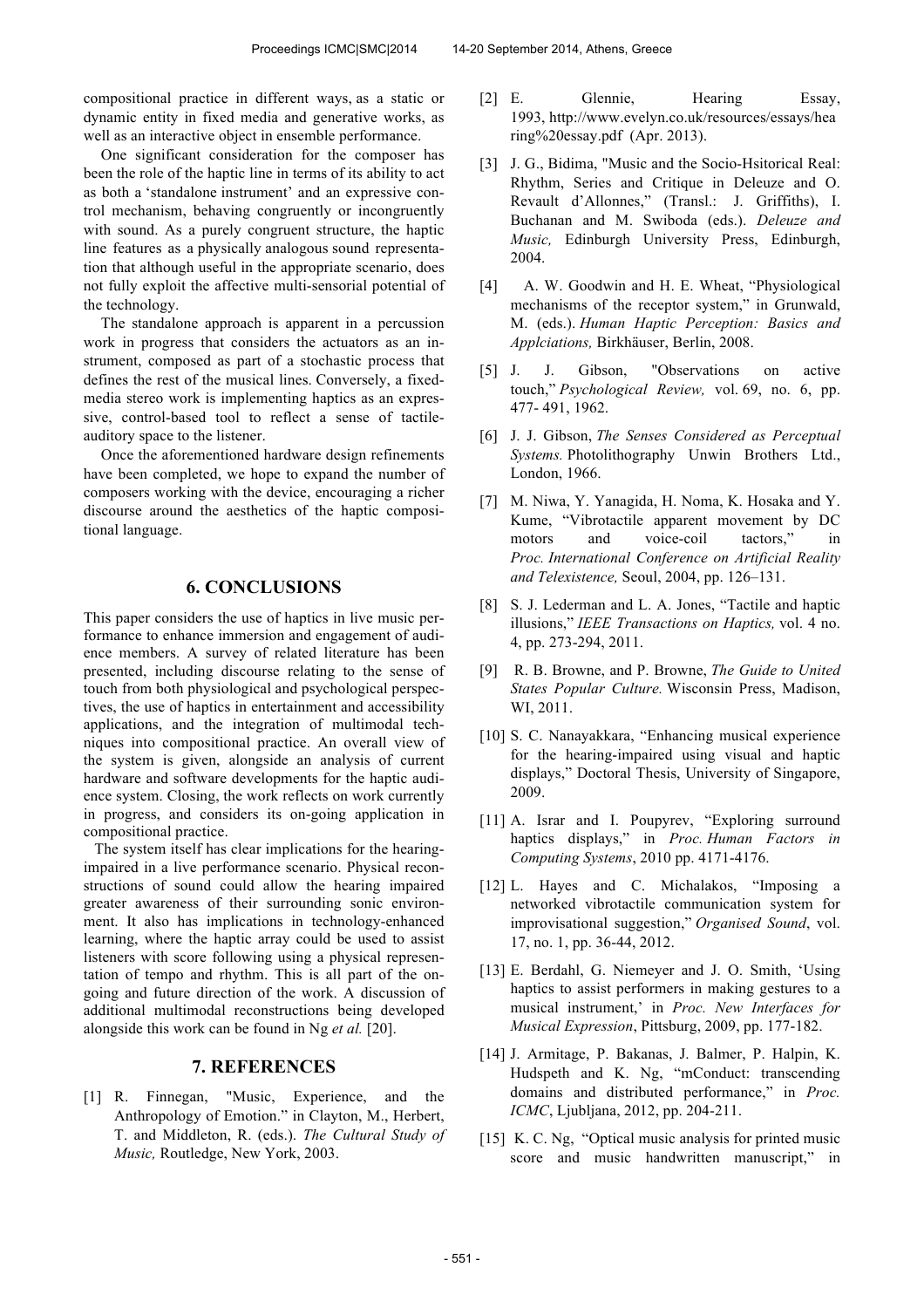compositional practice in different ways, as a static or dynamic entity in fixed media and generative works, as well as an interactive object in ensemble performance.

One significant consideration for the composer has been the role of the haptic line in terms of its ability to act as both a 'standalone instrument' and an expressive control mechanism, behaving congruently or incongruently with sound. As a purely congruent structure, the haptic line features as a physically analogous sound representation that although useful in the appropriate scenario, does not fully exploit the affective multi-sensorial potential of the technology.

The standalone approach is apparent in a percussion work in progress that considers the actuators as an instrument, composed as part of a stochastic process that defines the rest of the musical lines. Conversely, a fixedmedia stereo work is implementing haptics as an expressive, control-based tool to reflect a sense of tactileauditory space to the listener.

Once the aforementioned hardware design refinements have been completed, we hope to expand the number of composers working with the device, encouraging a richer discourse around the aesthetics of the haptic compositional language.

# **6. CONCLUSIONS**

This paper considers the use of haptics in live music performance to enhance immersion and engagement of audience members. A survey of related literature has been presented, including discourse relating to the sense of touch from both physiological and psychological perspectives, the use of haptics in entertainment and accessibility applications, and the integration of multimodal techniques into compositional practice. An overall view of the system is given, alongside an analysis of current hardware and software developments for the haptic audience system. Closing, the work reflects on work currently in progress, and considers its on-going application in compositional practice.

The system itself has clear implications for the hearingimpaired in a live performance scenario. Physical reconstructions of sound could allow the hearing impaired greater awareness of their surrounding sonic environment. It also has implications in technology-enhanced learning, where the haptic array could be used to assist listeners with score following using a physical representation of tempo and rhythm. This is all part of the ongoing and future direction of the work. A discussion of additional multimodal reconstructions being developed alongside this work can be found in Ng *et al.* [20].

## **7. REFERENCES**

[1] R. Finnegan, "Music, Experience, and the Anthropology of Emotion." in Clayton, M., Herbert, T. and Middleton, R. (eds.). *The Cultural Study of Music,* Routledge, New York, 2003.

- [2] E. Glennie, Hearing Essay, 1993, http://www.evelyn.co.uk/resources/essays/hea ring%20essay.pdf (Apr. 2013).
- [3] J. G., Bidima, "Music and the Socio-Hsitorical Real: Rhythm, Series and Critique in Deleuze and O. Revault d'Allonnes," (Transl.: J. Griffiths), I. Buchanan and M. Swiboda (eds.). *Deleuze and Music,* Edinburgh University Press, Edinburgh, 2004.
- [4] A. W. Goodwin and H. E. Wheat, "Physiological mechanisms of the receptor system," in Grunwald, M. (eds.). *Human Haptic Perception: Basics and Applciations,* Birkhäuser, Berlin, 2008.
- [5] J. J. Gibson, "Observations on active touch," *Psychological Review,* vol. 69, no. 6, pp. 477- 491, 1962.
- [6] J. J. Gibson, *The Senses Considered as Perceptual Systems.* Photolithography Unwin Brothers Ltd., London, 1966.
- [7] M. Niwa, Y. Yanagida, H. Noma, K. Hosaka and Y. Kume, "Vibrotactile apparent movement by DC motors and voice-coil tactors," in *Proc. International Conference on Artificial Reality and Telexistence,* Seoul, 2004, pp. 126–131.
- [8] S. J. Lederman and L. A. Jones, "Tactile and haptic illusions," *IEEE Transactions on Haptics,* vol. 4 no. 4, pp. 273-294, 2011.
- [9] R. B. Browne, and P. Browne, *The Guide to United States Popular Culture.* Wisconsin Press, Madison, WI, 2011.
- [10] S. C. Nanayakkara, "Enhancing musical experience for the hearing-impaired using visual and haptic displays," Doctoral Thesis, University of Singapore, 2009.
- [11] A. Israr and I. Poupyrev, "Exploring surround haptics displays," in *Proc. Human Factors in Computing Systems*, 2010 pp. 4171-4176.
- [12] L. Hayes and C. Michalakos, "Imposing a networked vibrotactile communication system for improvisational suggestion," *Organised Sound*, vol. 17, no. 1, pp. 36-44, 2012.
- [13] E. Berdahl, G. Niemeyer and J. O. Smith, 'Using haptics to assist performers in making gestures to a musical instrument,' in *Proc. New Interfaces for Musical Expression*, Pittsburg, 2009, pp. 177-182.
- [14] J. Armitage, P. Bakanas, J. Balmer, P. Halpin, K. Hudspeth and K. Ng, "mConduct: transcending domains and distributed performance," in *Proc. ICMC*, Ljubljana, 2012, pp. 204-211.
- [15] K. C. Ng, "Optical music analysis for printed music score and music handwritten manuscript," in